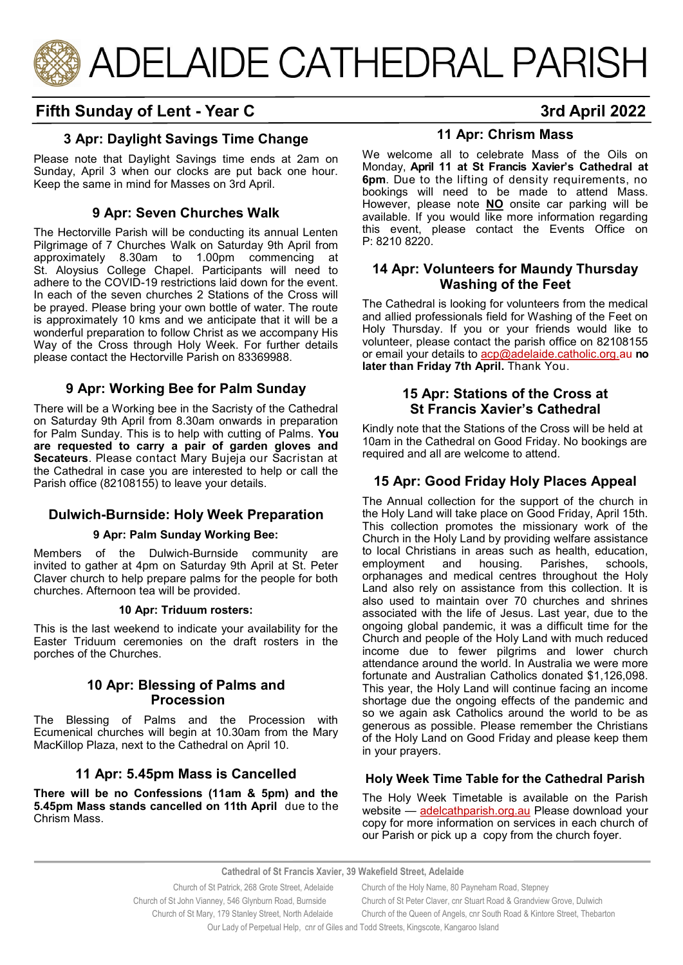

# **Fifth Sunday of Lent - Year C 3rd April 2022**

# **3 Apr: Daylight Savings Time Change**

Please note that Daylight Savings time ends at 2am on Sunday, April 3 when our clocks are put back one hour. Keep the same in mind for Masses on 3rd April.

# **9 Apr: Seven Churches Walk**

The Hectorville Parish will be conducting its annual Lenten Pilgrimage of 7 Churches Walk on Saturday 9th April from approximately 8.30am to 1.00pm commencing at St. Aloysius College Chapel. Participants will need to adhere to the COVID-19 restrictions laid down for the event. In each of the seven churches 2 Stations of the Cross will be prayed. Please bring your own bottle of water. The route is approximately 10 kms and we anticipate that it will be a wonderful preparation to follow Christ as we accompany His Way of the Cross through Holy Week. For further details please contact the Hectorville Parish on 83369988.

#### **9 Apr: Working Bee for Palm Sunday**

There will be a Working bee in the Sacristy of the Cathedral on Saturday 9th April from 8.30am onwards in preparation for Palm Sunday. This is to help with cutting of Palms. **You are requested to carry a pair of garden gloves and Secateurs**. Please contact Mary Bujeja our Sacristan at the Cathedral in case you are interested to help or call the Parish office (82108155) to leave your details.

# **Dulwich-Burnside: Holy Week Preparation**

#### **9 Apr: Palm Sunday Working Bee:**

Members of the Dulwich-Burnside community are invited to gather at 4pm on Saturday 9th April at St. Peter Claver church to help prepare palms for the people for both churches. Afternoon tea will be provided.

#### **10 Apr: Triduum rosters:**

This is the last weekend to indicate your availability for the Easter Triduum ceremonies on the draft rosters in the porches of the Churches.

#### **10 Apr: Blessing of Palms and Procession**

The Blessing of Palms and the Procession with Ecumenical churches will begin at 10.30am from the Mary MacKillop Plaza, next to the Cathedral on April 10.

# **11 Apr: 5.45pm Mass is Cancelled**

**There will be no Confessions (11am & 5pm) and the 5.45pm Mass stands cancelled on 11th April** due to the Chrism Mass.

## **11 Apr: Chrism Mass**

We welcome all to celebrate Mass of the Oils on Monday, **April 11 at St Francis Xavier's Cathedral at 6pm**. Due to the lifting of density requirements, no bookings will need to be made to attend Mass. However, please note **NO** onsite car parking will be available. If you would like more information regarding this event, please contact the Events Office on P: 8210 8220.

#### **14 Apr: Volunteers for Maundy Thursday Washing of the Feet**

The Cathedral is looking for volunteers from the medical and allied professionals field for Washing of the Feet on Holy Thursday. If you or your friends would like to volunteer, please contact the parish office on 82108155 or email your details to acp@adelaide.catholic.org.au **no later than Friday 7th April.** Thank You.

#### **15 Apr: Stations of the Cross at St Francis Xavier's Cathedral**

Kindly note that the Stations of the Cross will be held at 10am in the Cathedral on Good Friday. No bookings are required and all are welcome to attend.

# **15 Apr: Good Friday Holy Places Appeal**

The Annual collection for the support of the church in the Holy Land will take place on Good Friday, April 15th. This collection promotes the missionary work of the Church in the Holy Land by providing welfare assistance to local Christians in areas such as health, education, employment and housing. Parishes, schools, orphanages and medical centres throughout the Holy Land also rely on assistance from this collection. It is also used to maintain over 70 churches and shrines associated with the life of Jesus. Last year, due to the ongoing global pandemic, it was a difficult time for the Church and people of the Holy Land with much reduced income due to fewer pilgrims and lower church attendance around the world. In Australia we were more fortunate and Australian Catholics donated \$1,126,098. This year, the Holy Land will continue facing an income shortage due the ongoing effects of the pandemic and so we again ask Catholics around the world to be as generous as possible. Please remember the Christians of the Holy Land on Good Friday and please keep them in your prayers.

#### **Holy Week Time Table for the Cathedral Parish**

The Holy Week Timetable is available on the Parish website — [adelcathparish.org.au](https://www.adelcathparish.org/) Please download your copy for more information on services in each church of our Parish or pick up a copy from the church foyer.

Our Lady of Perpetual Help, cnr of Giles and Todd Streets, Kingscote, Kangaroo Island

**Cathedral of St Francis Xavier, 39 Wakefield Street, Adelaide**

Church of St Patrick, 268 Grote Street, Adelaide Church of the Holy Name, 80 Payneham Road, Stepney Church of St John Vianney, 546 Glynburn Road, Burnside Church of St Peter Claver, cnr Stuart Road & Grandview Grove, Dulwich Church of St Mary, 179 Stanley Street, North Adelaide Church of the Queen of Angels, cnr South Road & Kintore Street, Thebarton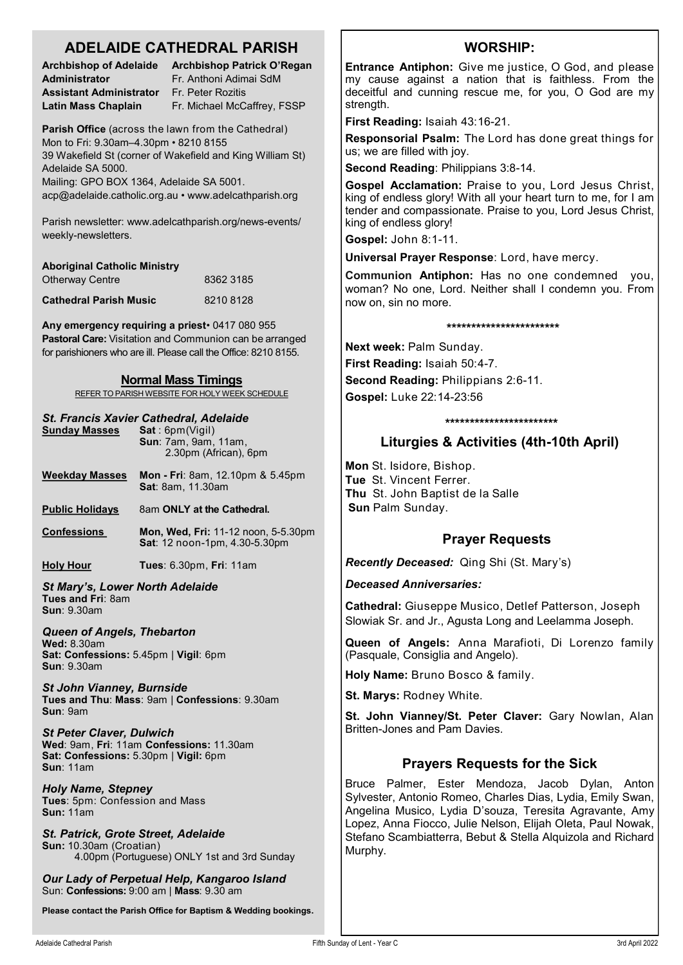# **ADELAIDE CATHEDRAL PARISH**

| <b>Archbishop of Adelaide</b>  | A  |
|--------------------------------|----|
| Administrator                  | Fı |
| <b>Assistant Administrator</b> | Fı |
| Latin Mass Chaplain            | Fı |

**Archbishop Patrick O'Regan Administrator** Fr. Anthoni Adimai SdM **Assistant Administrator** Fr. Peter Rozitis r. Michael McCaffrey, FSSP

**Parish Office** (across the lawn from the Cathedral) Mon to Fri: 9.30am–4.30pm • 8210 8155 39 Wakefield St (corner of Wakefield and King William St) Adelaide SA 5000. Mailing: GPO BOX 1364, Adelaide SA 5001.

acp@adelaide.catholic.org.au • www.adelcathparish.org

Parish newsletter: www.adelcathparish.org/news-events/ weekly-newsletters.

| <b>Aboriginal Catholic Ministry</b> |           |
|-------------------------------------|-----------|
| <b>Otherway Centre</b>              | 8362 3185 |
| <b>Cathedral Parish Music</b>       | 82108128  |

**Any emergency requiring a priest**• 0417 080 955 **Pastoral Care:** Visitation and Communion can be arranged for parishioners who are ill. Please call the Office: 8210 8155.

#### **Normal Mass Timings**

REFER TO PARISH WEBSITE FOR HOLY WEEK SCHEDULE

# *St. Francis Xavier Cathedral, Adelaide*

| <b>Sunday Masses</b>                                                                                                   | , .<br>Sat:6pm(Vigil)<br>Sun: 7am, 9am, 11am,<br>2.30pm (African), 6pm |  |
|------------------------------------------------------------------------------------------------------------------------|------------------------------------------------------------------------|--|
| <b>Weekday Masses</b>                                                                                                  | Mon - Fri: 8am, 12.10pm & 5.45pm<br><b>Sat: 8am, 11.30am</b>           |  |
| <b>Public Holidays</b>                                                                                                 | 8am ONLY at the Cathedral.                                             |  |
| <b>Confessions</b>                                                                                                     | Mon, Wed, Fri: 11-12 noon, 5-5.30pm<br>Sat: 12 noon-1pm, 4.30-5.30pm   |  |
| <b>Holy Hour</b>                                                                                                       | Tues: 6.30pm, Fri: 11am                                                |  |
| St Mary's, Lower North Adelaide<br>Tues and Fri: 8am<br><b>Sun: 9.30am</b>                                             |                                                                        |  |
| <b>Queen of Angels, Thebarton</b><br><b>Wed: 8.30am</b><br>Sat: Confessions: 5.45pm   Vigil: 6pm<br><b>Sun: 9.30am</b> |                                                                        |  |
| <b>St John Vianney, Burnside</b><br>Tues and Thu: Mass: 9am   Confessions: 9.30am<br>Sun: 9am                          |                                                                        |  |
| <b>St Peter Claver, Dulwich</b><br>Sat: Confessions: 5.30pm   Vigil: 6pm<br><b>Sun: 11am</b>                           | Wed: 9am, Fri: 11am Confessions: 11.30am                               |  |
| <b>Holy Name, Stepney</b><br>Tues: 5pm: Confession and Mass<br><b>Sun: 11am</b>                                        |                                                                        |  |
| St. Patrick, Grote Street, Adelaide<br>Sun: 10.30am (Croatian)                                                         | 4.00pm (Portuguese) ONLY 1st and 3rd Sunday                            |  |

*Our Lady of Perpetual Help, Kangaroo Island* Sun: **Confessions:** 9:00 am | **Mass**: 9.30 am

**Please contact the Parish Office for Baptism & Wedding bookings.**

# **WORSHIP:**

**Entrance Antiphon:** Give me justice, O God, and please my cause against a nation that is faithless. From the deceitful and cunning rescue me, for you, O God are my strength.

**First Reading:** Isaiah 43:16-21.

**Responsorial Psalm:** The Lord has done great things for us; we are filled with joy.

**Second Reading**: Philippians 3:8-14.

**Gospel Acclamation:** Praise to you, Lord Jesus Christ, king of endless glory! With all your heart turn to me, for I am tender and compassionate. Praise to you, Lord Jesus Christ, king of endless glory!

**Gospel:** John 8:1-11.

**Universal Prayer Response**: Lord, have mercy.

**Communion Antiphon:** Has no one condemned you, woman? No one, Lord. Neither shall I condemn you. From now on, sin no more.

#### **\*\*\*\*\*\*\*\*\*\*\*\*\*\*\*\*\*\*\*\*\*\*\***

**Next week:** Palm Sunday.

**First Reading:** Isaiah 50:4-7.

**Second Reading:** Philippians 2:6-11. **Gospel:** Luke 22:14-23:56

**\*\*\*\*\*\*\*\*\*\*\*\*\*\*\*\*\*\*\*\*\*\*\***

# **Liturgies & Activities (4th-10th April)**

**Mon** St. Isidore, Bishop. **Tue** St. Vincent Ferrer. **Thu** St. John Baptist de la Salle **Sun** Palm Sunday.

# **Prayer Requests**

*Recently Deceased:* Qing Shi (St. Mary's)

*Deceased Anniversaries:* 

**Cathedral:** Giuseppe Musico, Detlef Patterson, Joseph Slowiak Sr. and Jr., Agusta Long and Leelamma Joseph.

**Queen of Angels:** Anna Marafioti, Di Lorenzo family (Pasquale, Consiglia and Angelo).

**Holy Name:** Bruno Bosco & family.

**St. Marys:** Rodney White.

**St. John Vianney/St. Peter Claver:** Gary Nowlan, Alan Britten-Jones and Pam Davies.

# **Prayers Requests for the Sick**

Bruce Palmer, Ester Mendoza, Jacob Dylan, Anton Sylvester, Antonio Romeo, Charles Dias, Lydia, Emily Swan, Angelina Musico, Lydia D'souza, Teresita Agravante, Amy Lopez, Anna Fiocco, Julie Nelson, Elijah Oleta, Paul Nowak, Stefano Scambiatterra, Bebut & Stella Alquizola and Richard Murphy.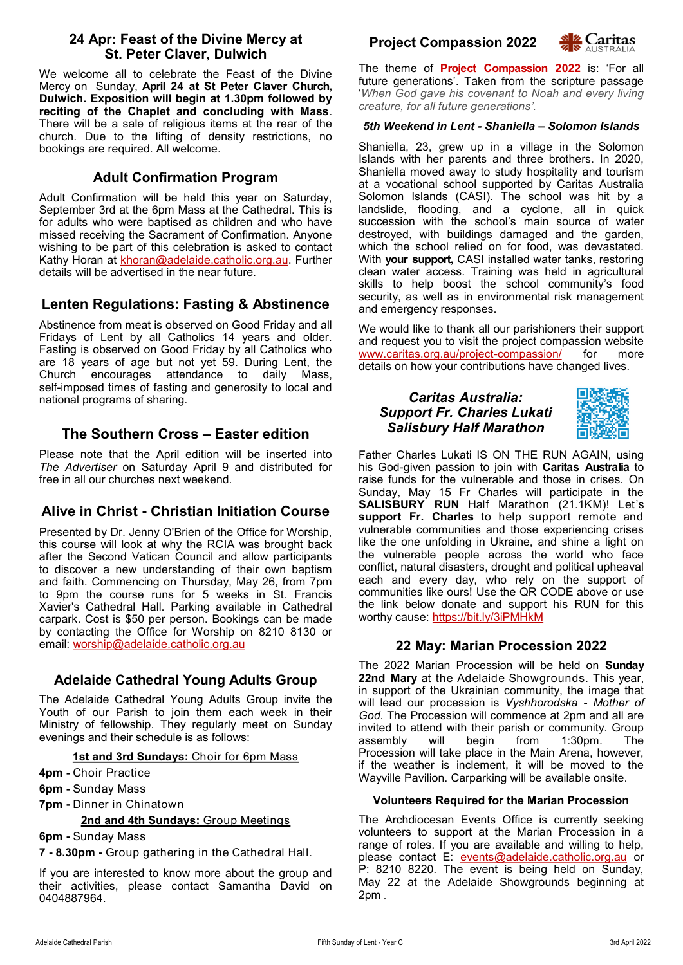#### **24 Apr: Feast of the Divine Mercy at St. Peter Claver, Dulwich**

We welcome all to celebrate the Feast of the Divine Mercy on Sunday, **April 24 at St Peter Claver Church, Dulwich. Exposition will begin at 1.30pm followed by reciting of the Chaplet and concluding with Mass**. There will be a sale of religious items at the rear of the church. Due to the lifting of density restrictions, no bookings are required. All welcome.

## **Adult Confirmation Program**

Adult Confirmation will be held this year on Saturday, September 3rd at the 6pm Mass at the Cathedral. This is for adults who were baptised as children and who have missed receiving the Sacrament of Confirmation. Anyone wishing to be part of this celebration is asked to contact Kathy Horan at [khoran@adelaide.catholic.org.au.](mailto:khoran@adelaide.catholic.org.au) Further details will be advertised in the near future.

# **Lenten Regulations: Fasting & Abstinence**

Abstinence from meat is observed on Good Friday and all Fridays of Lent by all Catholics 14 years and older. Fasting is observed on Good Friday by all Catholics who are 18 years of age but not yet 59. During Lent, the Church encourages attendance to daily Mass, self-imposed times of fasting and generosity to local and national programs of sharing.

# **The Southern Cross – Easter edition**

Please note that the April edition will be inserted into *The Advertiser* on Saturday April 9 and distributed for free in all our churches next weekend.

# **Alive in Christ - Christian Initiation Course**

Presented by Dr. Jenny O'Brien of the Office for Worship, this course will look at why the RCIA was brought back after the Second Vatican Council and allow participants to discover a new understanding of their own baptism and faith. Commencing on Thursday, May 26, from 7pm to 9pm the course runs for 5 weeks in St. Francis Xavier's Cathedral Hall. Parking available in Cathedral carpark. Cost is \$50 per person. Bookings can be made by contacting the Office for Worship on 8210 8130 or email: [worship@adelaide.catholic.org.au](mailto:worship@adelaide.catholic.org.au)

# **Adelaide Cathedral Young Adults Group**

The Adelaide Cathedral Young Adults Group invite the Youth of our Parish to join them each week in their Ministry of fellowship. They regularly meet on Sunday evenings and their schedule is as follows:

#### **1st and 3rd Sundays:** Choir for 6pm Mass

**4pm -** Choir Practice

- **6pm -** Sunday Mass
- **7pm -** Dinner in Chinatown

#### **2nd and 4th Sundays:** Group Meetings

**6pm -** Sunday Mass

**7 - 8.30pm -** Group gathering in the Cathedral Hall.

If you are interested to know more about the group and their activities, please contact Samantha David on 0404887964.





The theme of **Project Compassion 2022** is: 'For all future generations'. Taken from the scripture passage '*When God gave his covenant to Noah and every living creature, for all future generations'.*

#### *5th Weekend in Lent - Shaniella – Solomon Islands*

Shaniella, 23, grew up in a village in the Solomon Islands with her parents and three brothers. In 2020, Shaniella moved away to study hospitality and tourism at a vocational school supported by Caritas Australia Solomon Islands (CASI). The school was hit by a landslide, flooding, and a cyclone, all in quick succession with the school's main source of water destroyed, with buildings damaged and the garden, which the school relied on for food, was devastated. With **your support,** CASI installed water tanks, restoring clean water access. Training was held in agricultural skills to help boost the school community's food security, as well as in environmental risk management and emergency responses.

We would like to thank all our parishioners their support and request you to visit the project compassion website [www.caritas.org.au/project](http://www.caritas.org.au/project-compassion/)-compassion/ for more details on how your contributions have changed lives.

#### *Caritas Australia: Support Fr. Charles Lukati Salisbury Half Marathon*



Father Charles Lukati IS ON THE RUN AGAIN, using his God-given passion to join with **Caritas Australia** to raise funds for the vulnerable and those in crises. On Sunday, May 15 Fr Charles will participate in the **SALISBURY RUN** Half Marathon (21.1KM)! Let's **support Fr. Charles** to help support remote and vulnerable communities and those experiencing crises like the one unfolding in Ukraine, and shine a light on the vulnerable people across the world who face conflict, natural disasters, drought and political upheaval each and every day, who rely on the support of communities like ours! Use the QR CODE above or use the link below donate and support his RUN for this worthy cause: https://bit.ly/3iPMHkM

#### **22 May: Marian Procession 2022**

The 2022 Marian Procession will be held on **Sunday 22nd Mary** at the Adelaide Showgrounds. This year, in support of the Ukrainian community, the image that will lead our procession is *Vyshhorodska - Mother of God*. The Procession will commence at 2pm and all are invited to attend with their parish or community. Group<br>assembly utill begin from 1:30pm. The assembly will begin from 1:30pm. The Procession will take place in the Main Arena, however, if the weather is inclement, it will be moved to the Wayville Pavilion. Carparking will be available onsite.

#### **Volunteers Required for the Marian Procession**

The Archdiocesan Events Office is currently seeking volunteers to support at the Marian Procession in a range of roles. If you are available and willing to help, please contact E: [events@adelaide.catholic.org.au](mailto:events@adelaide.catholic.org.au) or P: 8210 8220. The event is being held on Sunday, May 22 at the Adelaide Showgrounds beginning at 2pm .